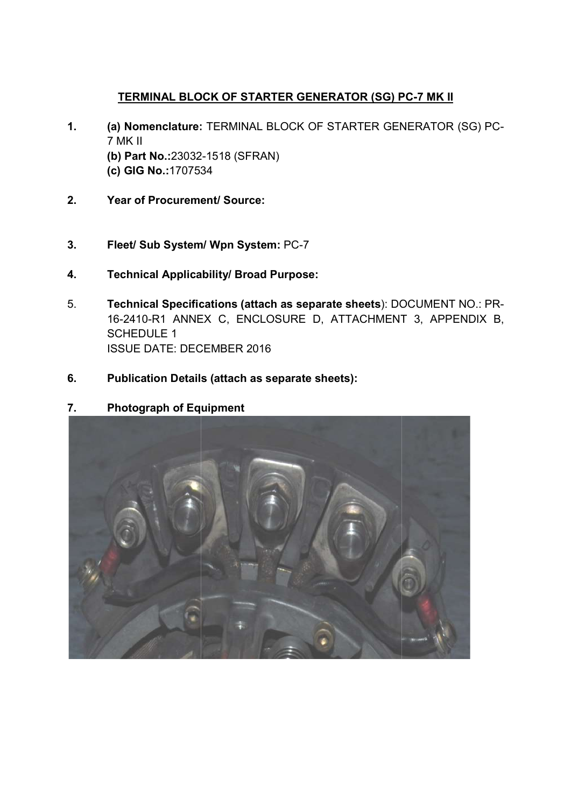## TERMINAL BLOCK OF STARTER GENERATOR (SG) PC-7 MK II

- <u>TERMINAL BLOCK OF STARTER GENERATOR (SG) PC-7 MK II</u><br>1. (a) Nomenclature: TERMINAL BLOCK OF STARTER GENERATOR (SG) PC-7 MK II (b) Part No.:23032 23032-1518 (SFRAN) (c) GIG No.:1707534 TERMINAL BLOCK OF STARTER GENERATOR (SG) PC-7 MK II<br>
I Nomenclature: TERMINAL BLOCK OF STARTER GENERATOR (SG) PC-<br>
MK II<br>
I Part No.:23032-1518 (SFRAN)<br>
OGIG No.:1707534<br>
aar of Procurement/ Source:<br>
eet/ Sub System/ Wpn S
- 2. Year of Procurement/ Source:
- (c) GIG No.:1707534<br>2. Pear of Procurement/ Source:<br>3. Fleet/ Sub System/ Wpn System: PC-7
- 4. Technical Applicability/ Broad Purpose:
- 5. Technical Specifications (attach as separate sheets): DOCUMENT NO.: PR-16-2410-R1 ANNEX C, ENCLOSURE D, ATTACHMENT 3, APPENDIX B, SCHEDULE 1 ISSUE DATE: DECEMBER 2016
- 6. Publication Details (attach as separate sheets):
- 7. Photograph of Equipment